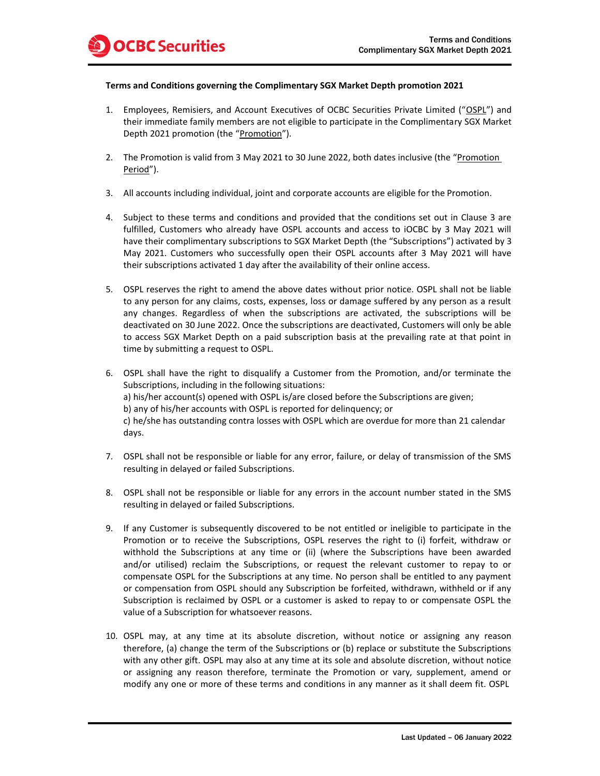

## **Terms and Conditions governing the Complimentary SGX Market Depth promotion 2021**

- 1. Employees, Remisiers, and Account Executives of OCBC Securities Private Limited ("OSPL") and their immediate family members are not eligible to participate in the Complimentary SGX Market Depth 2021 promotion (the "Promotion").
- 2. The Promotion is valid from 3 May 2021 to 30 June 2022, both dates inclusive (the "Promotion Period").
- 3. All accounts including individual, joint and corporate accounts are eligible for the Promotion.
- 4. Subject to these terms and conditions and provided that the conditions set out in Clause 3 are fulfilled, Customers who already have OSPL accounts and access to iOCBC by 3 May 2021 will have their complimentary subscriptions to SGX Market Depth (the "Subscriptions") activated by 3 May 2021. Customers who successfully open their OSPL accounts after 3 May 2021 will have their subscriptions activated 1 day after the availability of their online access.
- 5. OSPL reserves the right to amend the above dates without prior notice. OSPL shall not be liable to any person for any claims, costs, expenses, loss or damage suffered by any person as a result any changes. Regardless of when the subscriptions are activated, the subscriptions will be deactivated on 30 June 2022. Once the subscriptions are deactivated, Customers will only be able to access SGX Market Depth on a paid subscription basis at the prevailing rate at that point in time by submitting a request to OSPL.
- 6. OSPL shall have the right to disqualify a Customer from the Promotion, and/or terminate the Subscriptions, including in the following situations: a) his/her account(s) opened with OSPL is/are closed before the Subscriptions are given; b) any of his/her accounts with OSPL is reported for delinquency; or c) he/she has outstanding contra losses with OSPL which are overdue for more than 21 calendar days.
- 7. OSPL shall not be responsible or liable for any error, failure, or delay of transmission of the SMS resulting in delayed or failed Subscriptions.
- 8. OSPL shall not be responsible or liable for any errors in the account number stated in the SMS resulting in delayed or failed Subscriptions.
- 9. If any Customer is subsequently discovered to be not entitled or ineligible to participate in the Promotion or to receive the Subscriptions, OSPL reserves the right to (i) forfeit, withdraw or withhold the Subscriptions at any time or (ii) (where the Subscriptions have been awarded and/or utilised) reclaim the Subscriptions, or request the relevant customer to repay to or compensate OSPL for the Subscriptions at any time. No person shall be entitled to any payment or compensation from OSPL should any Subscription be forfeited, withdrawn, withheld or if any Subscription is reclaimed by OSPL or a customer is asked to repay to or compensate OSPL the value of a Subscription for whatsoever reasons.
- 10. OSPL may, at any time at its absolute discretion, without notice or assigning any reason therefore, (a) change the term of the Subscriptions or (b) replace or substitute the Subscriptions with any other gift. OSPL may also at any time at its sole and absolute discretion, without notice or assigning any reason therefore, terminate the Promotion or vary, supplement, amend or modify any one or more of these terms and conditions in any manner as it shall deem fit. OSPL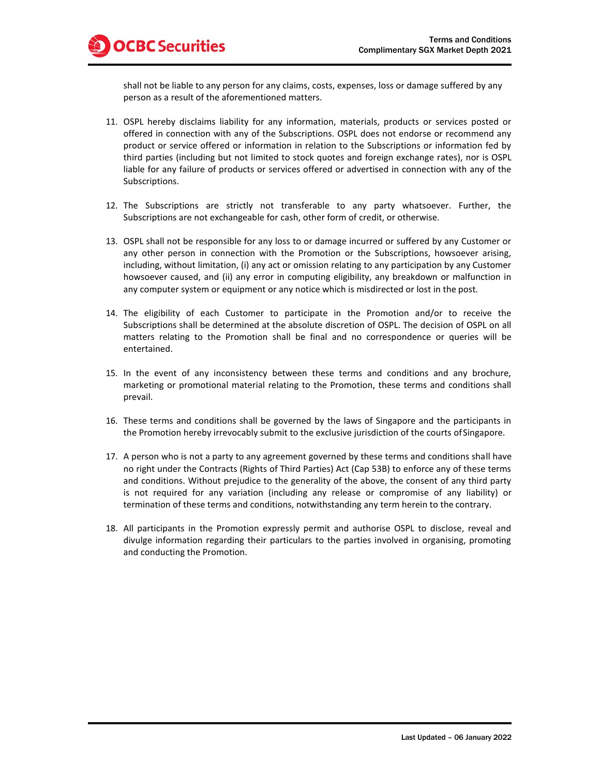shall not be liable to any person for any claims, costs, expenses, loss or damage suffered by any person as a result of the aforementioned matters.

- 11. OSPL hereby disclaims liability for any information, materials, products or services posted or offered in connection with any of the Subscriptions. OSPL does not endorse or recommend any product or service offered or information in relation to the Subscriptions or information fed by third parties (including but not limited to stock quotes and foreign exchange rates), nor is OSPL liable for any failure of products or services offered or advertised in connection with any of the Subscriptions.
- 12. The Subscriptions are strictly not transferable to any party whatsoever. Further, the Subscriptions are not exchangeable for cash, other form of credit, or otherwise.
- 13. OSPL shall not be responsible for any loss to or damage incurred or suffered by any Customer or any other person in connection with the Promotion or the Subscriptions, howsoever arising, including, without limitation, (i) any act or omission relating to any participation by any Customer howsoever caused, and (ii) any error in computing eligibility, any breakdown or malfunction in any computer system or equipment or any notice which is misdirected or lost in the post.
- 14. The eligibility of each Customer to participate in the Promotion and/or to receive the Subscriptions shall be determined at the absolute discretion of OSPL. The decision of OSPL on all matters relating to the Promotion shall be final and no correspondence or queries will be entertained.
- 15. In the event of any inconsistency between these terms and conditions and any brochure, marketing or promotional material relating to the Promotion, these terms and conditions shall prevail.
- 16. These terms and conditions shall be governed by the laws of Singapore and the participants in the Promotion hereby irrevocably submit to the exclusive jurisdiction of the courts ofSingapore.
- 17. A person who is not a party to any agreement governed by these terms and conditions shall have no right under the Contracts (Rights of Third Parties) Act (Cap 53B) to enforce any of these terms and conditions. Without prejudice to the generality of the above, the consent of any third party is not required for any variation (including any release or compromise of any liability) or termination of these terms and conditions, notwithstanding any term herein to the contrary.
- 18. All participants in the Promotion expressly permit and authorise OSPL to disclose, reveal and divulge information regarding their particulars to the parties involved in organising, promoting and conducting the Promotion.